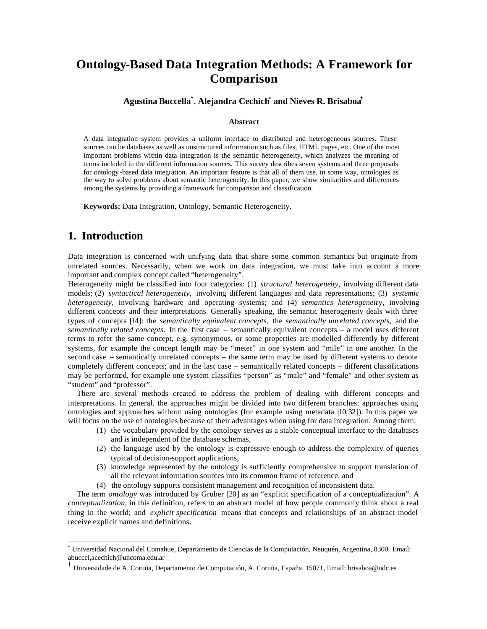# **Ontology-Based Data Integration Methods: A Framework for Comparison**

### **Agustina Buccella\*** , **Alejandra Cechich\* and Nieves R. Brisaboa†**

#### **Abstract**

A data integration system provides a uniform interface to distributed and heterogeneous sources. These sources can be databases as well as unstructured information such as files, HTML pages, etc. One of the most important problems within data integration is the semantic heterogeneity, which analyzes the meaning of terms included in the different information sources. This survey describes seven systems and three proposals for ontology -based data integration. An important feature is that all of them use, in some way, ontologies as the way to solve problems about semantic heterogeneity. In this paper, we show similarities and differences among the systems by providing a framework for comparison and classification.

**Keywords:** Data Integration, Ontology, Semantic Heterogeneity.

# **1. Introduction**

 $\overline{a}$ 

Data integration is concerned with unifying data that share some common semantics but originate from unrelated sources. Necessarily, when we work on data integration, we must take into account a more important and complex concept called "heterogeneity".

Heterogeneity might be classified into four categories: (1) *structural heterogeneity,* involving different data models; (2) *syntactical heterogeneity,* involving different languages and data representations; (3) *systemic heterogeneity,* involving hardware and operating systems; and (4) *semantics heterogeneit*y, involving different concepts and their interpretations. Generally speaking, the semantic heterogeneity deals with three types of concepts [14]: the *semantically equivalent concepts,* the *semantically unrelated concepts,* and the *semantically related concepts.* In the first case – semantically equivalent concepts – a model uses different terms to refer the same concept, e.g. synonymous, or some properties are modelled differently by different systems, for example the concept length may be "meter" in one system and "mile" in one another. In the second case – semantically unrelated concepts – the same term may be used by different systems to denote completely different concepts; and in the last case – semantically related concepts – different classifications may be performed, for example one system classifies "person" as "male" and "female" and other system as "student" and "professor".

There are several methods created to address the problem of dealing with different concepts and interpretations. In general, the approaches might be divided into two different branches: approaches using ontologies and approaches without using ontologies (for example using metadata [10,32]). In this paper we will focus on the use of ontologies because of their advantages when using for data integration. Among them:

- (1) the vocabulary provided by the ontology serves as a stable conceptual interface to the databases and is independent of the database schemas,
- (2) the language used by the ontology is expressive enough to address the complexity of queries typical of decision-support applications,
- (3) knowledge represented by the ontology is sufficiently comprehensive to support translation of all the relevant information sources into its common frame of reference, and
- (4) the ontology supports consistent management and recognition of inconsistent data.

The term *ontology* was introduced by Gruber [20] as an "explicit specification of a conceptualization". A *conceptualization,* in this definition, refers to an abstract model of how people commonly think about a real thing in the world; and *explicit specification* means that concepts and relationships of an abstract model receive explicit names and definitions.

<sup>\*</sup> Universidad Nacional del Comahue, Departamento de Ciencias de la Computación, Neuquén, Argentina, 8300. Email: abuccel,acechich@uncoma.edu.ar

<sup>†</sup> Universidade de A. Coruña, Departamento de Computación, A. Coruña, España, 15071, Email: brisaboa@udc.es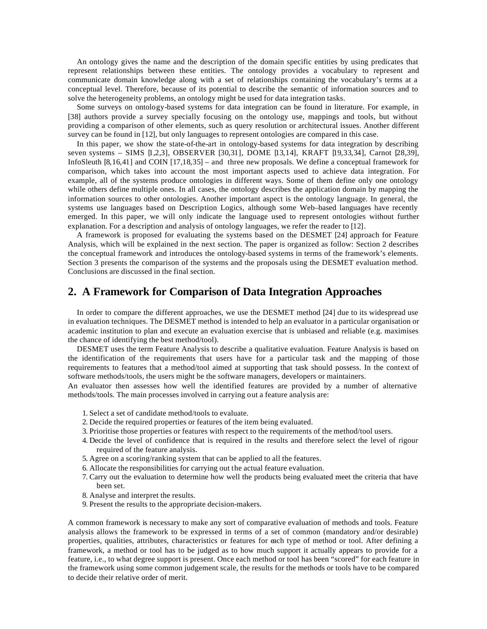An ontology gives the name and the description of the domain specific entities by using predicates that represent relationships between these entities. The ontology provides a vocabulary to represent and communicate domain knowledge along with a set of relationships containing the vocabulary's terms at a conceptual level. Therefore, because of its potential to describe the semantic of information sources and to solve the heterogeneity problems, an ontology might be used for data integration tasks.

Some surveys on ontology-based systems for data integration can be found in literature. For example, in [38] authors provide a survey specially focusing on the ontology use, mappings and tools, but without providing a comparison of other elements, such as query resolution or architectural issues. Another different survey can be found in [12], but only languages to represent ontologies are compared in this case.

In this paper, we show the state-of-the-art in ontology-based systems for data integration by describing seven systems – SIMS [1,2,3], OBSERVER [30,31], DOME [13,14], KRAFT [19,33,34], Carnot [28,39], InfoSleuth [8,16,41] and COIN [17,18,35] – and three new proposals. We define a conceptual framework for comparison, which takes into account the most important aspects used to achieve data integration. For example, all of the systems produce ontologies in different ways. Some of them define only one ontology while others define multiple ones. In all cases, the ontology describes the application domain by mapping the information sources to other ontologies. Another important aspect is the ontology language. In general, the systems use languages based on Description Logics, although some Web–based languages have recently emerged. In this paper, we will only indicate the language used to represent ontologies without further explanation. For a description and analysis of ontology languages, we refer the reader to [12].

A framework is proposed for evaluating the systems based on the DESMET [24] approach for Feature Analysis, which will be explained in the next section. The paper is organized as follow: Section 2 describes the conceptual framework and introduces the ontology-based systems in terms of the framework's elements. Section 3 presents the comparison of the systems and the proposals using the DESMET evaluation method. Conclusions are discussed in the final section.

### **2. A Framework for Comparison of Data Integration Approaches**

In order to compare the different approaches, we use the DESMET method [24] due to its widespread use in evaluation techniques. The DESMET method is intended to help an evaluator in a particular organisation or academic institution to plan and execute an evaluation exercise that is unbiased and reliable (e.g. maximises the chance of identifying the best method/tool).

DESMET uses the term Feature Analysis to describe a qualitative evaluation. Feature Analysis is based on the identification of the requirements that users have for a particular task and the mapping of those requirements to features that a method/tool aimed at supporting that task should possess. In the context of software methods/tools, the users might be the software managers, developers or maintainers.

An evaluator then assesses how well the identified features are provided by a number of alternative methods/tools. The main processes involved in carrying out a feature analysis are:

- 1. Select a set of candidate method/tools to evaluate.
- 2. Decide the required properties or features of the item being evaluated.
- 3. Prioritise those properties or features with respect to the requirements of the method/tool users.
- 4. Decide the level of confidence that is required in the results and therefore select the level of rigour required of the feature analysis.
- 5. Agree on a scoring/ranking system that can be applied to all the features.
- 6. Allocate the responsibilities for carrying out the actual feature evaluation.
- 7. Carry out the evaluation to determine how well the products being evaluated meet the criteria that have been set.
- 8. Analyse and interpret the results.
- 9. Present the results to the appropriate decision-makers.

A common framework is necessary to make any sort of comparative evaluation of methods and tools. Feature analysis allows the framework to be expressed in terms of a set of common (mandatory and/or desirable) properties, qualities, attributes, characteristics or features for each type of method or tool. After defining a framework, a method or tool has to be judged as to how much support it actually appears to provide for a feature, i.e., to what degree support is present. Once each method or tool has been "scored" for each feature in the framework using some common judgement scale, the results for the methods or tools have to be compared to decide their relative order of merit.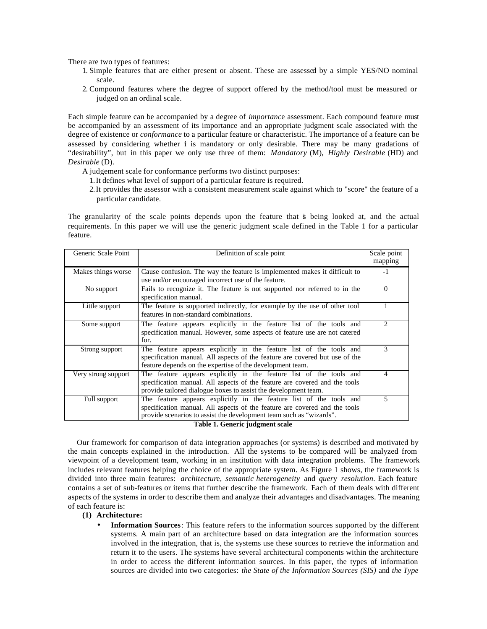There are two types of features:

- 1. Simple features that are either present or absent. These are assessed by a simple YES/NO nominal scale.
- 2. Compound features where the degree of support offered by the method/tool must be measured or judged on an ordinal scale.

Each simple feature can be accompanied by a degree of *importanc*e assessment. Each compound feature must be accompanied by an assessment of its importance and an appropriate judgment scale associated with the degree of existence or *conformance* to a particular feature or characteristic. The importance of a feature can be assessed by considering whether *i* is mandatory or only desirable. There may be many gradations of "desirability", but in this paper we only use three of them: *Mandatory* (M), *Highly Desirable* (HD) and *Desirable* (D).

- A judgement scale for conformance performs two distinct purposes:
	- 1.It defines what level of support of a particular feature is required.
	- 2.It provides the assessor with a consistent measurement scale against which to "score" the feature of a particular candidate.

The granularity of the scale points depends upon the feature that is being looked at, and the actual requirements. In this paper we will use the generic judgment scale defined in the Table 1 for a particular feature.

| Generic Scale Point | Definition of scale point                                                                                                                                                                                                                                                                                                                                     | Scale point<br>mapping      |
|---------------------|---------------------------------------------------------------------------------------------------------------------------------------------------------------------------------------------------------------------------------------------------------------------------------------------------------------------------------------------------------------|-----------------------------|
| Makes things worse  | Cause confusion. The way the feature is implemented makes it difficult to<br>use and/or encouraged incorrect use of the feature.                                                                                                                                                                                                                              | $-1$                        |
| No support          | Fails to recognize it. The feature is not supported nor referred to in the<br>specification manual.                                                                                                                                                                                                                                                           | $\theta$                    |
| Little support      | The feature is supported indirectly, for example by the use of other tool<br>features in non-standard combinations.                                                                                                                                                                                                                                           |                             |
| Some support        | The feature appears explicitly in the feature list of the tools and<br>specification manual. However, some aspects of feature use are not catered<br>for.                                                                                                                                                                                                     | $\mathcal{D}_{\mathcal{L}}$ |
| Strong support      | The feature appears explicitly in the feature list of the tools and<br>specification manual. All aspects of the feature are covered but use of the<br>feature depends on the expertise of the development team.                                                                                                                                               | 3                           |
| Very strong support | The feature appears explicitly in the feature list of the tools and<br>specification manual. All aspects of the feature are covered and the tools<br>provide tailored dialogue boxes to assist the development team.                                                                                                                                          | 4                           |
| Full support        | The feature appears explicitly in the feature list of the tools and<br>specification manual. All aspects of the feature are covered and the tools<br>provide scenarios to assist the development team such as "wizards".<br>$\mathbf{m}$ . Let $\mathbf{r}$ $\mathbf{r}$ and $\mathbf{r}$ and $\mathbf{r}$ and $\mathbf{r}$ and $\mathbf{r}$ and $\mathbf{r}$ | 5                           |

#### **Table 1. Generic judgment scale**

Our framework for comparison of data integration approaches (or systems) is described and motivated by the main concepts explained in the introduction. All the systems to be compared will be analyzed from viewpoint of a development team, working in an institution with data integration problems. The framework includes relevant features helping the choice of the appropriate system. As Figure 1 shows, the framework is divided into three main features: *architectur*e, *semantic heterogeneity* and *quer*y *resolution*. Each feature contains a set of sub-features or items that further describe the framework. Each of them deals with different aspects of the systems in order to describe them and analyze their advantages and disadvantages. The meaning of each feature is:

#### **(1) Architecture:**

• **Information Sources**: This feature refers to the information sources supported by the different systems. A main part of an architecture based on data integration are the information sources involved in the integration, that is, the systems use these sources to retrieve the information and return it to the users. The systems have several architectural components within the architecture in order to access the different information sources. In this paper, the types of information sources are divided into two categories: *the State of the Information Sources (SIS)* and *the Type*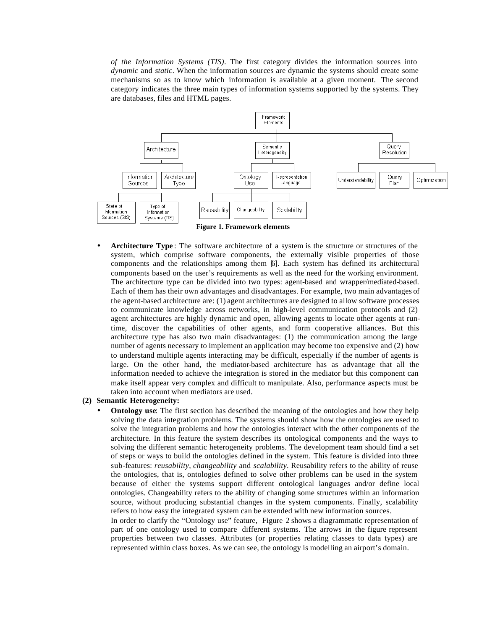*of the Information Systems (TIS)*. The first category divides the information sources into *dynamic* and *static*. When the information sources are dynamic the systems should create some mechanisms so as to know which information is available at a given moment. The second category indicates the three main types of information systems supported by the systems. They are databases, files and HTML pages.



• **Architecture Type** : The software architecture of a system is the structure or structures of the system, which comprise software components, the externally visible properties of those components and the relationships among them [6]. Each system has defined its architectural components based on the user's requirements as well as the need for the working environment. The architecture type can be divided into two types: agent-based and wrapper/mediated-based. Each of them has their own advantages and disadvantages. For example, two main advantages of the agent-based architecture are: (1) agent architectures are designed to allow software processes to communicate knowledge across networks, in high-level communication protocols and (2) agent architectures are highly dynamic and open, allowing agents to locate other agents at runtime, discover the capabilities of other agents, and form cooperative alliances. But this architecture type has also two main disadvantages: (1) the communication among the large number of agents necessary to implement an application may become too expensive and (2) how to understand multiple agents interacting may be difficult, especially if the number of agents is large. On the other hand, the mediator-based architecture has as advantage that all the information needed to achieve the integration is stored in the mediator but this component can make itself appear very complex and difficult to manipulate. Also, performance aspects must be taken into account when mediators are used.

#### **(2) Semantic Heterogeneity:**

**Ontology use**: The first section has described the meaning of the ontologies and how they help solving the data integration problems. The systems should show how the ontologies are used to solve the integration problems and how the ontologies interact with the other components of the architecture. In this feature the system describes its ontological components and the ways to solving the different semantic heterogeneity problems. The development team should find a set of steps or ways to build the ontologies defined in the system. This feature is divided into three sub-features: *reusability*, *changeability* and *scalability*. Reusability refers to the ability of reuse the ontologies, that is, ontologies defined to solve other problems can be used in the system because of either the systems support different ontological languages and/or define local ontologies. Changeability refers to the ability of changing some structures within an information source, without producing substantial changes in the system components. Finally, scalability refers to how easy the integrated system can be extended with new information sources.

In order to clarify the "Ontology use" feature, Figure 2 shows a diagrammatic representation of part of one ontology used to compare different systems. The arrows in the figure represent properties between two classes. Attributes (or properties relating classes to data types) are represented within class boxes. As we can see, the ontology is modelling an airport's domain.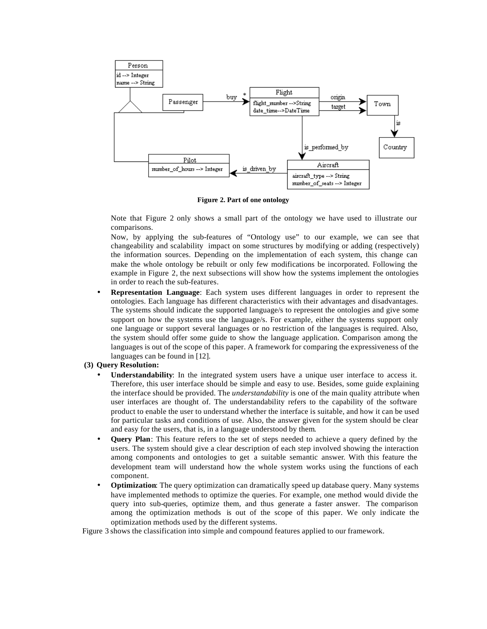

**Figure 2. Part of one ontology**

Note that Figure 2 only shows a small part of the ontology we have used to illustrate our comparisons.

Now, by applying the sub-features of "Ontology use" to our example, we can see that changeability and scalability impact on some structures by modifying or adding (respectively) the information sources. Depending on the implementation of each system, this change can make the whole ontology be rebuilt or only few modifications be incorporated. Following the example in Figure 2, the next subsections will show how the systems implement the ontologies in order to reach the sub-features.

• **Representation Language**: Each system uses different languages in order to represent the ontologies. Each language has different characteristics with their advantages and disadvantages. The systems should indicate the supported language/s to represent the ontologies and give some support on how the systems use the language/s. For example, either the systems support only one language or support several languages or no restriction of the languages is required. Also, the system should offer some guide to show the language application. Comparison among the languages is out of the scope of this paper. A framework for comparing the expressiveness of the languages can be found in [12].

#### **(3) Query Resolution:**

- **Understandability**: In the integrated system users have a unique user interface to access it. Therefore, this user interface should be simple and easy to use. Besides, some guide explaining the interface should be provided. The *understandability* is one of the main quality attribute when user interfaces are thought of. The understandability refers to the capability of the software product to enable the user to understand whether the interface is suitable, and how it can be used for particular tasks and conditions of use. Also, the answer given for the system should be clear and easy for the users, that is, in a language understood by them.
- **Query Plan**: This feature refers to the set of steps needed to achieve a query defined by the users. The system should give a clear description of each step involved showing the interaction among components and ontologies to get a suitable semantic answer. With this feature the development team will understand how the whole system works using the functions of each component.
- **Optimization**: The query optimization can dramatically speed up database query. Many systems have implemented methods to optimize the queries. For example, one method would divide the query into sub-queries, optimize them, and thus generate a faster answer. The comparison among the optimization methods is out of the scope of this paper. We only indicate the optimization methods used by the different systems.

Figure 3 shows the classification into simple and compound features applied to our framework.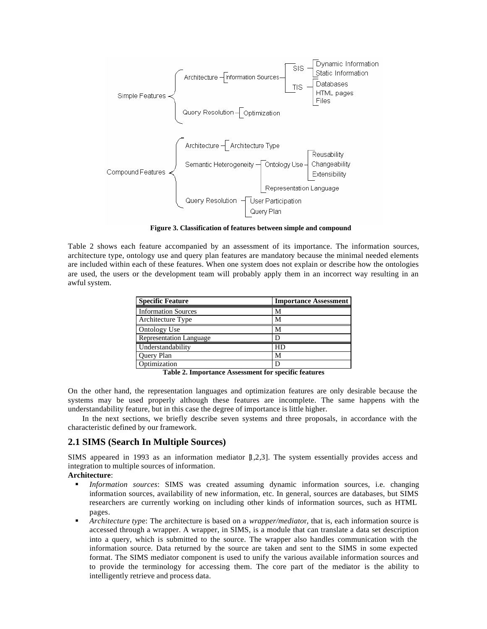

**Figure 3. Classification of features between simple and compound**

Table 2 shows each feature accompanied by an assessment of its importance. The information sources, architecture type, ontology use and query plan features are mandatory because the minimal needed elements are included within each of these features. When one system does not explain or describe how the ontologies are used, the users or the development team will probably apply them in an incorrect way resulting in an awful system.

| <b>Specific Feature</b>        | <b>Importance Assessment</b> |  |  |
|--------------------------------|------------------------------|--|--|
| <b>Information Sources</b>     | M                            |  |  |
| Architecture Type              | M                            |  |  |
| Ontology Use                   | M                            |  |  |
| <b>Representation Language</b> |                              |  |  |
| Understandability              | HD                           |  |  |
| Query Plan                     | М                            |  |  |
| Optimization                   |                              |  |  |

**Table 2. Importance Assessment for specific features**

On the other hand, the representation languages and optimization features are only desirable because the systems may be used properly although these features are incomplete. The same happens with the understandability feature, but in this case the degree of importance is little higher.

In the next sections, we briefly describe seven systems and three proposals, in accordance with the characteristic defined by our framework.

### **2.1 SIMS (Search In Multiple Sources)**

SIMS appeared in 1993 as an information mediator  $[1,2,3]$ . The system essentially provides access and integration to multiple sources of information.

### **Architecture**:

- ß *Information sources*: SIMS was created assuming dynamic information sources, i.e. changing information sources, availability of new information, etc. In general, sources are databases, but SIMS researchers are currently working on including other kinds of information sources, such as HTML pages.
- ß *Architecture typ*e: The architecture is based on a *wrapper/mediato*r, that is, each information source is accessed through a wrapper. A wrapper, in SIMS, is a module that can translate a data set description into a query, which is submitted to the source. The wrapper also handles communication with the information source. Data returned by the source are taken and sent to the SIMS in some expected format. The SIMS mediator component is used to unify the various available information sources and to provide the terminology for accessing them. The core part of the mediator is the ability to intelligently retrieve and process data.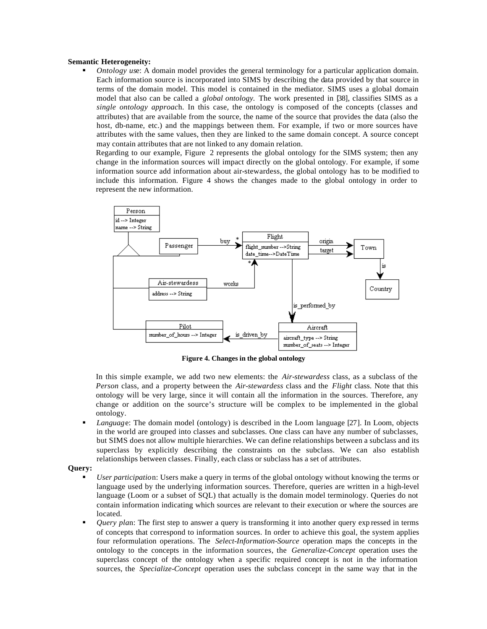#### **Semantic Heterogeneity:**

*Ontology use:* A domain model provides the general terminology for a particular application domain. Each information source is incorporated into SIMS by describing the data provided by that source in terms of the domain model. This model is contained in the mediator. SIMS uses a global domain model that also can be called a *global ontology.* The work presented in [38], classifies SIMS as a *single ontology approac*h. In this case, the ontology is composed of the concepts (classes and attributes) that are available from the source, the name of the source that provides the data (also the host, db-name, etc.) and the mappings between them. For example, if two or more sources have attributes with the same values, then they are linked to the same domain concept. A source concept may contain attributes that are not linked to any domain relation.

Regarding to our example, Figure 2 represents the global ontology for the SIMS system; then any change in the information sources will impact directly on the global ontology. For example, if some information source add information about air-stewardess, the global ontology has to be modified to include this information. Figure 4 shows the changes made to the global ontology in order to represent the new information.



**Figure 4. Changes in the global ontology**

In this simple example, we add two new elements: the *Air-stewardess* class, as a subclass of the *Person* class, and a property between the *Air-stewardess* class and the *Flight* class. Note that this ontology will be very large, since it will contain all the information in the sources. Therefore, any change or addition on the source's structure will be complex to be implemented in the global ontology.

ß *Languag*e: The domain model (ontology) is described in the Loom language [27]. In Loom, objects in the world are grouped into classes and subclasses. One class can have any number of subclasses, but SIMS does not allow multiple hierarchies. We can define relationships between a subclass and its superclass by explicitly describing the constraints on the subclass. We can also establish relationships between classes. Finally, each class or subclass has a set of attributes.

### **Query:**

- ß *User participatio*n: Users make a query in terms of the global ontology without knowing the terms or language used by the underlying information sources. Therefore, queries are written in a high-level language (Loom or a subset of SQL) that actually is the domain model terminology. Queries do not contain information indicating which sources are relevant to their execution or where the sources are located.
- *Query plan*: The first step to answer a query is transforming it into another query expressed in terms of concepts that correspond to information sources. In order to achieve this goal, the system applies four reformulation operations. The *Select-Information-Source* operation maps the concepts in the ontology to the concepts in the information sources, the *Generalize-Concept* operation uses the superclass concept of the ontology when a specific required concept is not in the information sources, the *Specialize-Concept* operation uses the subclass concept in the same way that in the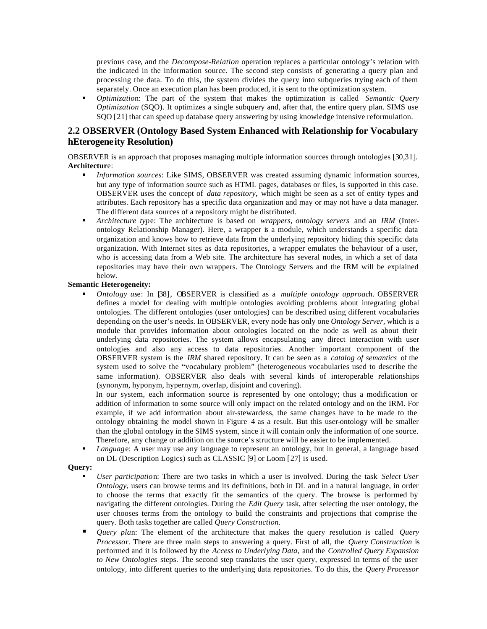previous case, and the *Decompose-Relation* operation replaces a particular ontology's relation with the indicated in the information source. The second step consists of generating a query plan and processing the data. To do this, the system divides the query into subqueries trying each of them separately. Once an execution plan has been produced, it is sent to the optimization system.

ß *Optimizatio*n: The part of the system that makes the optimization is called *Semantic Query Optimization* (SQO). It optimizes a single subquery and, after that, the entire query plan. SIMS use SQO [21] that can speed up database query answering by using knowledge intensive reformulation.

### **2.2 OBSERVER (Ontology Based System Enhanced with Relationship for Vocabulary hEterogene ity Resolution)**

OBSERVER is an approach that proposes managing multiple information sources through ontologies [30,31]. **Architectur**e:

- ß *Information sources*: Like SIMS, OBSERVER was created assuming dynamic information sources, but any type of information source such as HTML pages, databases or files, is supported in this case. OBSERVER uses the concept of *data repository,* which might be seen as a set of entity types and attributes. Each repository has a specific data organization and may or may not have a data manager. The different data sources of a repository might be distributed.
- ß *Architecture typ*e: The architecture is based on *wrappers, ontology servers* and an *IRM* (Interontology Relationship Manager). Here, a wrapper is a module, which understands a specific data organization and knows how to retrieve data from the underlying repository hiding this specific data organization. With Internet sites as data repositories, a wrapper emulates the behaviour of a user, who is accessing data from a Web site. The architecture has several nodes, in which a set of data repositories may have their own wrappers. The Ontology Servers and the IRM will be explained below.

### **Semantic Heterogeneity:**

ß *Ontology us*e: In [38], OBSERVER is classified as a *multiple ontology approac*h. OBSERVER defines a model for dealing with multiple ontologies avoiding problems about integrating global ontologies. The different ontologies (user ontologies) can be described using different vocabularies depending on the user's needs. In OBSERVER, every node has only one *Ontology Server,* which is a module that provides information about ontologies located on the node as well as about their underlying data repositories. The system allows encapsulating any direct interaction with user ontologies and also any access to data repositories. Another important component of the OBSERVER system is the *IRM* shared repository. It can be seen as a *catalog of semantics* of the system used to solve the "vocabulary problem" (heterogeneous vocabularies used to describe the same information). OBSERVER also deals with several kinds of interoperable relationships (synonym, hyponym, hypernym, overlap, disjoint and covering).

In our system, each information source is represented by one ontology; thus a modification or addition of information to some source will only impact on the related ontology and on the IRM. For example, if we add information about air-stewardess, the same changes have to be made to the ontology obtaining the model shown in Figure 4 as a result. But this user-ontology will be smaller than the global ontology in the SIMS system, since it will contain only the information of one source. Therefore, any change or addition on the source's structure will be easier to be implemented.

ß *Languag*e: A user may use any language to represent an ontology, but in general, a language based on DL (Description Logics) such as CLASSIC [9] or Loom [27] is used.

#### **Query:**

- ß *User participatio*n: There are two tasks in which a user is involved. During the task *Select User Ontology,* users can browse terms and its definitions, both in DL and in a natural language, in order to choose the terms that exactly fit the semantics of the query. The browse is performed by navigating the different ontologies. During the *Edit Query* task, after selecting the user ontology, the user chooses terms from the ontology to build the constraints and projections that comprise the query. Both tasks together are called *Query Construction.*
- ß *Query pla*n: The element of the architecture that makes the query resolution is called *Query Processo*r. There are three main steps to answering a query. First of all, the *Query Construction* is performed and it is followed by the *Access to Underlying Data,* and the *Controlled Query Expansion to New Ontologies* steps. The second step translates the user query, expressed in terms of the user ontology, into different queries to the underlying data repositories. To do this, the *Query Processor*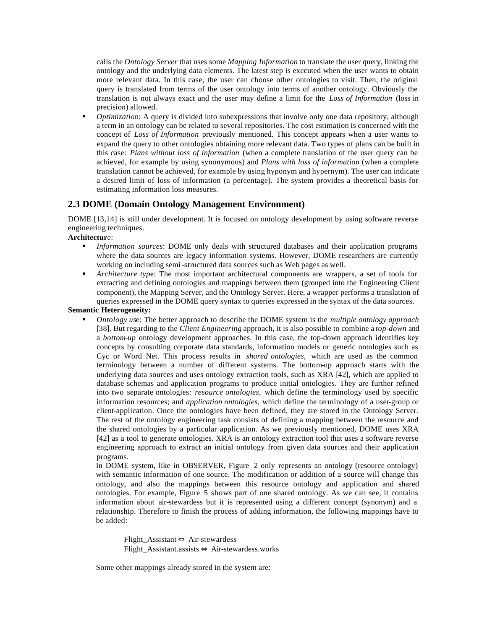calls the *Ontology Server* that uses some *Mapping Information* to translate the user query, linking the ontology and the underlying data elements. The latest step is executed when the user wants to obtain more relevant data. In this case, the user can choose other ontologies to visit. Then, the original query is translated from terms of the user ontology into terms of another ontology. Obviously the translation is not always exact and the user may define a limit for the *Loss of Information* (loss in precision) allowed.

*Optimization*: A query is divided into subexpressions that involve only one data repository, although a term in an ontology can be related to several repositories. The cost estimation is concerned with the concept of *Loss of Information* previously mentioned. This concept appears when a user wants to expand the query to other ontologies obtaining more relevant data. Two types of plans can be built in this case: *Plans without loss of information* (when a complete translation of the user query can be achieved, for example by using synonymous) and *Plans with loss of information* (when a complete translation cannot be achieved, for example by using hyponym and hypernym). The user can indicate a desired limit of loss of information (a percentage). The system provides a theoretical basis for estimating information loss measures.

### **2.3 DOME (Domain Ontology Management Environment)**

DOME [13,14] is still under development. It is focused on ontology development by using software reverse engineering techniques.

### **Architectur**e:

- ß *Information sources*: DOME only deals with structured databases and their application programs where the data sources are legacy information systems. However, DOME researchers are currently working on including semi-structured data sources such as Web pages as well.
- **•** *Architecture type:* The most important architectural components are wrappers, a set of tools for extracting and defining ontologies and mappings between them (grouped into the Engineering Client component), the Mapping Server, and the Ontology Server. Here, a wrapper performs a translation of queries expressed in the DOME query syntax to queries expressed in the syntax of the data sources.

### **Semantic Heterogeneity:**

ß *Ontology us*e: The better approach to describe the DOME system is the *multiple ontology approach*  [38]. But regarding to the *Client Engineering* approach, it is also possible to combine a *top-down* and a *bottom-up* ontology development approaches. In this case, the top-down approach identifies key concepts by consulting corporate data standards, information models or generic ontologies such as Cyc or Word Net. This process results in *shared ontologies,* which are used as the common terminology between a number of different systems. The bottom-up approach starts with the underlying data sources and uses ontology extraction tools, such as XRA [42], which are applied to database schemas and application programs to produce initial ontologies. They are further refined into two separate ontologies: *resource ontologies,* which define the terminology used by specific information resources; and *application ontologies,* which define the terminology of a user-group or client-application. Once the ontologies have been defined, they are stored in the Ontology Server. The rest of the ontology engineering task consists of defining a mapping between the resource and the shared ontologies by a particular application. As we previously mentioned, DOME uses XRA [42] as a tool to generate ontologies. XRA is an ontology extraction tool that uses a software reverse engineering approach to extract an initial ontology from given data sources and their application programs.

In DOME system, like in OBSERVER, Figure 2 only represents an ontology (resource ontology) with semantic information of one source. The modification or addition of a source will change this ontology, and also the mappings between this resource ontology and application and shared ontologies. For example, Figure 5 shows part of one shared ontology. As we can see, it contains information about air-stewardess but it is represented using a different concept (synonym) and a relationship. Therefore to finish the process of adding information, the following mappings have to be added:

Flight\_Assistant ⇔ Air-stewardess Flight\_Assistant.assists ⇔ Air-stewardess.works

Some other mappings already stored in the system are: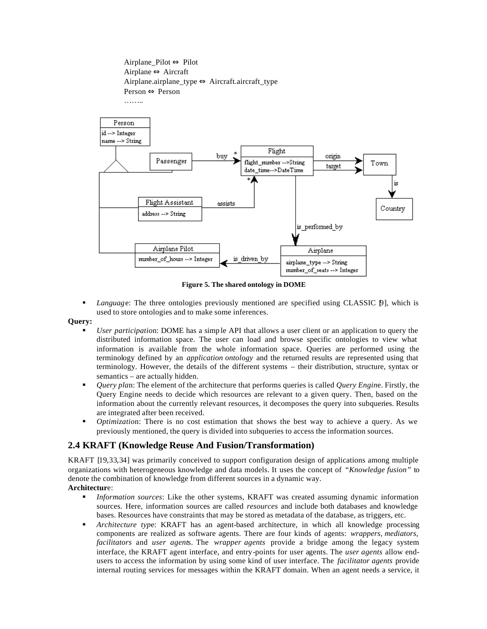

**Figure 5. The shared ontology in DOME**

**Language:** The three ontologies previously mentioned are specified using CLASSIC  $\beta$ , which is used to store ontologies and to make some inferences.

#### **Query:**

- ß *User participatio*n: DOME has a simp le API that allows a user client or an application to query the distributed information space. The user can load and browse specific ontologies to view what information is available from the whole information space. Queries are performed using the terminology defined by an *application ontology* and the returned results are represented using that terminology. However, the details of the different systems – their distribution, structure, syntax or semantics – are actually hidden.
- ß *Query pla*n: The element of the architecture that performs queries is called *Query Engin*e. Firstly, the Query Engine needs to decide which resources are relevant to a given query. Then, based on the information about the currently relevant resources, it decomposes the query into subqueries. Results are integrated after been received.
- **•** *Optimization:* There is no cost estimation that shows the best way to achieve a query. As we previously mentioned, the query is divided into subqueries to access the information sources.

### **2.4 KRAFT (Knowledge Reuse And Fusion/Transformation)**

KRAFT [19,33,34] was primarily conceived to support configuration design of applications among multiple organizations with heterogeneous knowledge and data models. It uses the concept of *"Knowledge fusion"* to denote the combination of knowledge from different sources in a dynamic way. **Architectur**e:

- **•** *Information sources*: Like the other systems, KRAFT was created assuming dynamic information sources. Here, information sources are called *resources* and include both databases and knowledge bases. Resources have constraints that may be stored as metadata of the database, as triggers, etc.
- ß *Architecture typ*e: KRAFT has an agent-based architecture, in which all knowledge processing components are realized as software agents. There are four kinds of agents: *wrappers, mediators, facilitators* and *user agent*s. The *wrapper agents* provide a bridge among the legacy system interface, the KRAFT agent interface, and entry-points for user agents. The *user agents* allow endusers to access the information by using some kind of user interface. The *facilitator agents* provide internal routing services for messages within the KRAFT domain. When an agent needs a service, it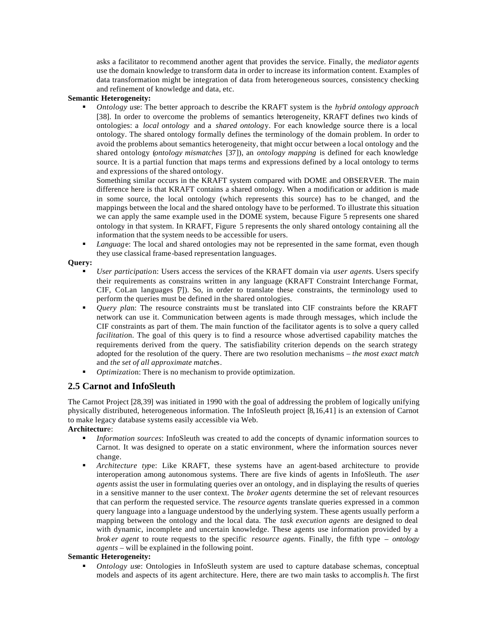asks a facilitator to recommend another agent that provides the service. Finally, the *mediator agents*  use the domain knowledge to transform data in order to increase its information content. Examples of data transformation might be integration of data from heterogeneous sources, consistency checking and refinement of knowledge and data, etc.

#### **Semantic Heterogeneity:**

ß *Ontology us*e: The better approach to describe the KRAFT system is the *hybrid ontology approach*  [38]. In order to overcome the problems of semantics heterogeneity, KRAFT defines two kinds of ontologies: a *local ontology* and a *shared ontolog*y. For each knowledge source there is a local ontology. The shared ontology formally defines the terminology of the domain problem. In order to avoid the problems about semantics heterogeneity, that might occur between a local ontology and the shared ontology (*ontology mismatches* [37]), an *ontology mapping* is defined for each knowledge source. It is a partial function that maps terms and expressions defined by a local ontology to terms and expressions of the shared ontology.

Something similar occurs in the KRAFT system compared with DOME and OBSERVER. The main difference here is that KRAFT contains a shared ontology. When a modification or addition is made in some source, the local ontology (which represents this source) has to be changed, and the mappings between the local and the shared ontology have to be performed. To illustrate this situation we can apply the same example used in the DOME system, because Figure 5 represents one shared ontology in that system. In KRAFT, Figure 5 represents the only shared ontology containing all the information that the system needs to be accessible for users.

ß *Languag*e: The local and shared ontologies may not be represented in the same format, even though they use classical frame-based representation languages.

#### **Query:**

- ß *User participatio*n: Users access the services of the KRAFT domain via *user agent*s. Users specify their requirements as constrains written in any language (KRAFT Constraint Interchange Format, CIF, CoLan languages [7]). So, in order to translate these constraints, the terminology used to perform the queries must be defined in the shared ontologies.
- *Query plan*: The resource constraints must be translated into CIF constraints before the KRAFT network can use it. Communication between agents is made through messages, which include the CIF constraints as part of them. The main function of the facilitator agents is to solve a query called *facilitation*. The goal of this query is to find a resource whose advertised capability matches the requirements derived from the query. The satisfiability criterion depends on the search strategy adopted for the resolution of the query. There are two resolution mechanisms – *the most exact match*  and *the set of all approximate matche*s.
- ß *Optimizatio*n: There is no mechanism to provide optimization.

### **2.5 Carnot and InfoSleuth**

The Carnot Project [28,39] was initiated in 1990 with the goal of addressing the problem of logically unifying physically distributed, heterogeneous information. The InfoSleuth project [8,16,41] is an extension of Carnot to make legacy database systems easily accessible via Web.

### **Architectur**e:

- *Information sources:* InfoSleuth was created to add the concepts of dynamic information sources to Carnot. It was designed to operate on a static environment, where the information sources never change.
- ß *Architecture typ*e: Like KRAFT, these systems have an agent-based architecture to provide interoperation among autonomous systems. There are five kinds of agents in InfoSleuth. The *user agents* assist the user in formulating queries over an ontology, and in displaying the results of queries in a sensitive manner to the user context. The *broker agents* determine the set of relevant resources that can perform the requested service. The *resource agents* translate queries expressed in a common query language into a language understood by the underlying system. These agents usually perform a mapping between the ontology and the local data. The *task execution agents* are designed to deal with dynamic, incomplete and uncertain knowledge. These agents use information provided by a *brok er agent* to route requests to the specific *resource agent*s. Finally, the fifth type – *ontology agents –* will be explained in the following point.

### **Semantic Heterogeneity:**

*Ontology use:* Ontologies in InfoSleuth system are used to capture database schemas, conceptual models and aspects of its agent architecture. Here, there are two main tasks to accomplis *h.* The first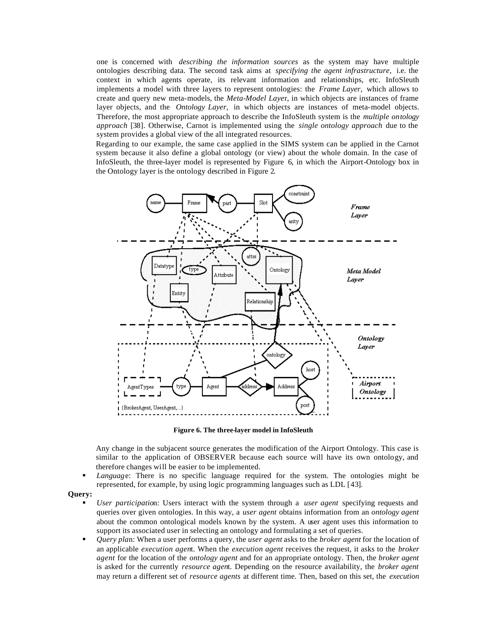one is concerned with *describing the information sources* as the system may have multiple ontologies describing data. The second task aims at *specifying the agent infrastructure,* i.e. the context in which agents operate, its relevant information and relationships, etc. InfoSleuth implements a model with three layers to represent ontologies: the *Frame Layer,* which allows to create and query new meta-models, the *Meta-Model Laye*r, in which objects are instances of frame layer objects, and the *Ontology Layer,* in which objects are instances of meta-model objects. Therefore, the most appropriate approach to describe the InfoSleuth system is the *multiple ontology approach* [38]. Otherwise, Carnot is implemented using the *single ontology approach* due to the system provides a global view of the all integrated resources.

Regarding to our example, the same case applied in the SIMS system can be applied in the Carnot system because it also define a global ontology (or view) about the whole domain. In the case of InfoSleuth, the three-layer model is represented by Figure 6, in which the Airport-Ontology box in the Ontology layer is the ontology described in Figure 2.



**Figure 6. The three-layer model in InfoSleuth**

Any change in the subjacent source generates the modification of the Airport Ontology. This case is similar to the application of OBSERVER because each source will have its own ontology, and therefore changes will be easier to be implemented.

- *Language*: There is no specific language required for the system. The ontologies might be represented, for example, by using logic programming languages such as LDL [43].
- **Query:**
	- ß *User participatio*n: Users interact with the system through a *user agent* specifying requests and queries over given ontologies. In this way, a *user agent* obtains information from an *ontology agent*  about the common ontological models known by the system. A user agent uses this information to support its associated user in selecting an ontology and formulating a set of queries.
	- ß *Query pla*n: When a user performs a query, the *user agent* asks to the *broker agent* for the location of an applicable *execution agen*t. When the *execution agent* receives the request, it asks to the *broker agent* for the location of the *ontology agent* and for an appropriate ontology. Then, the *broker agent*  is asked for the currently *resource agen*t. Depending on the resource availability, the *broker agent*  may return a different set of *resource agents* at different time. Then, based on this set, the *execution*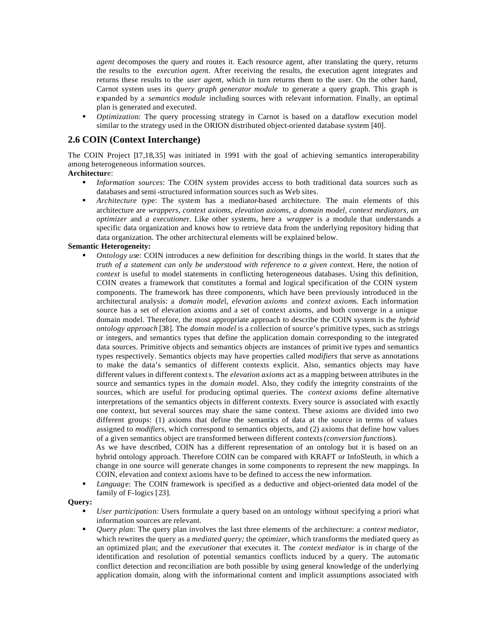*agent* decomposes the query and routes it. Each resource agent, after translating the query, returns the results to the *execution agen*t. After receiving the results, the execution agent integrates and returns these results to the *user agen*t, which in turn returns them to the user. On the other hand, Carnot system uses its *query graph generator module* to generate a query graph. This graph is expanded by a *semantics module* including sources with relevant information. Finally, an optimal plan is generated and executed.

ß *Optimizatio*n: The query processing strategy in Carnot is based on a dataflow execution model similar to the strategy used in the ORION distributed object-oriented database system [40].

### **2.6 COIN (Context Interchange)**

The COIN Project [17,18,35] was initiated in 1991 with the goal of achieving semantics interoperability among heterogeneous information sources.

### **Architectur**e:

- ß *Information sources*: The COIN system provides access to both traditional data sources such as databases and semi-structured information sources such as Web sites.
- ß *Architecture typ*e: The system has a mediator-based architecture. The main elements of this architecture are *wrappers, context axioms, elevation axioms, a domain model, context mediators, an optimizer* and *a executione*r. Like other systems, here a *wrapper* is a module that understands a specific data organization and knows how to retrieve data from the underlying repository hiding that data organization. The other architectural elements will be explained below.

### **Semantic Heterogeneity:**

ß *Ontology us*e: COIN introduces a new definition for describing things in the world. It states that *the truth of a statement can only be understood with reference to a given contex*t. Here, the notion of *context* is useful to model statements in conflicting heterogeneous databases. Using this definition, COIN creates a framework that constitutes a formal and logical specification of the COIN system components. The framework has three components, which have been previously introduced in the architectural analysis: a *domain mode*l, *elevation axioms* and *context axiom*s. Each information source has a set of elevation axioms and a set of context axioms, and both converge in a unique domain model. Therefore, the most appropriate approach to describe the COIN system is the *hybrid ontology approach* [38]. The *domain model* is a collection of source's primitive types, such as strings or integers, and semantics types that define the application domain corresponding to the integrated data sources. Primitive objects and semantics objects are instances of primit ive types and semantics types respectively. Semantics objects may have properties called *modifiers* that serve as annotations to make the data's semantics of different contexts explicit. Also, semantics objects may have different values in different contexts. The *elevation axioms* act as a mapping between attributes in the source and semantics types in the *domain mode*l. Also, they codify the integrity constraints of the sources, which are useful for producing optimal queries. The *context axioms* define alternative interpretations of the semantics objects in different contexts. Every source is associated with exactly one context, but several sources may share the same context. These axioms are divided into two different groups: (1) axioms that define the semantics of data at the source in terms of values assigned to *modifiers,* which correspond to semantics objects, and (2) axioms that define how values of a given semantics object are transformed between different contexts *(conversion function*s).

As we have described, COIN has a different representation of an ontology but it is based on an hybrid ontology approach. Therefore COIN can be compared with KRAFT or InfoSleuth, in which a change in one source will generate changes in some components to represent the new mappings. In COIN, elevation and context axioms have to be defined to access the new information.

ß *Languag*e: The COIN framework is specified as a deductive and object-oriented data model of the family of F-logics [23].

#### **Query:**

- ß *User participatio*n: Users formulate a query based on an ontology without specifying a priori what information sources are relevant.
- ß *Query pla*n: The query plan involves the last three elements of the architecture: a *context mediator,*  which rewrites the query as a *mediated query;* the *optimizer,* which transforms the mediated query as an optimized plan; and the *executioner* that executes it. The *context mediator* is in charge of the identification and resolution of potential semantics conflicts induced by a query. The automatic conflict detection and reconciliation are both possible by using general knowledge of the underlying application domain, along with the informational content and implicit assumptions associated with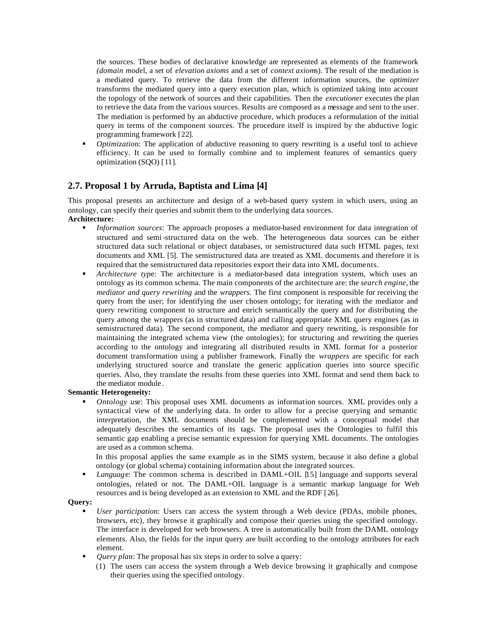the sources. These bodies of declarative knowledge are represented as elements of the framework *(domain mode*l, a set of *elevation axioms* and a set of *context axiom*s). The result of the mediation is a mediated query. To retrieve the data from the different information sources, the *optimizer*  transforms the mediated query into a query execution plan, which is optimized taking into account the topology of the network of sources and their capabilities. Then the *executioner* executes the plan to retrieve the data from the various sources. Results are composed as a message and sent to the user. The mediation is performed by an abductive procedure, which produces a reformulation of the initial query in terms of the component sources. The procedure itself is inspired by the abductive logic programming framework [22].

ß *Optimizatio*n: The application of abductive reasoning to query rewriting is a useful tool to achieve efficiency. It can be used to formally combine and to implement features of semantics query optimization (SQO) [11].

### **2.7. Proposal 1 by Arruda, Baptista and Lima [4]**

This proposal presents an architecture and design of a web-based query system in which users, using an ontology, can specify their queries and submit them to the underlying data sources. **Architecture:**

- **Information sources:** The approach proposes a mediator-based environment for data integration of structured and semi-structured data on the web. The heterogeneous data sources can be either structured data such relational or object databases, or semistructured data such HTML pages, text documents and XML [5]. The semistructured data are treated as XML documents and therefore it is required that the semistructured data repositories export their data into XML documents.
- ß *Architecture typ*e: The architecture is a mediator-based data integration system, which uses an ontology as its common schema. The main components of the architecture are: the *search engine*, the *mediator and query rewriting* and the *wrappers.* The first component is responsible for receiving the query from the user; for identifying the user chosen ontology; for iterating with the mediator and query rewriting component to structure and enrich semantically the query and for distributing the query among the wrappers (as in structured data) and calling appropriate XML query engines (as in semistructured data). The second component, the mediator and query rewriting, is responsible for maintaining the integrated schema view (the ontologies); for structuring and rewriting the queries according to the ontology and integrating all distributed results in XML format for a posterior document transformation using a publisher framework. Finally the *wrappers* are specific for each underlying structured source and translate the generic application queries into source specific queries. Also, they translate the results from these queries into XML format and send them back to the mediator module .

### **Semantic Heterogeneity:**

ß *Ontology us*e: This proposal uses XML documents as information sources. XML provides only a syntactical view of the underlying data. In order to allow for a precise querying and semantic interpretation, the XML documents should be complemented with a conceptual model that adequately describes the semantics of its tags. The proposal uses the Ontologies to fulfil this semantic gap enabling a precise semantic expression for querying XML documents. The ontologies are used as a common schema.

In this proposal applies the same example as in the SIMS system, because it also define a global ontology (or global schema) containing information about the integrated sources.

ß *Languag*e: The common schema is described in DAML+OIL [15] language and supports several ontologies, related or not. The DAML+OIL language is a semantic markup language for Web resources and is being developed as an extension to XML and the RDF [26].

#### **Query:**

- ß *User participatio*n: Users can access the system through a Web device (PDAs, mobile phones, browsers, etc), they browse it graphically and compose their queries using the specified ontology. The interface is developed for web browsers. A tree is automatically built from the DAML ontology elements. Also, the fields for the input query are built according to the ontology attributes for each element.
- ß *Query pla*n: The proposal has six steps in order to solve a query:
	- (1) The users can access the system through a Web device browsing it graphically and compose their queries using the specified ontology.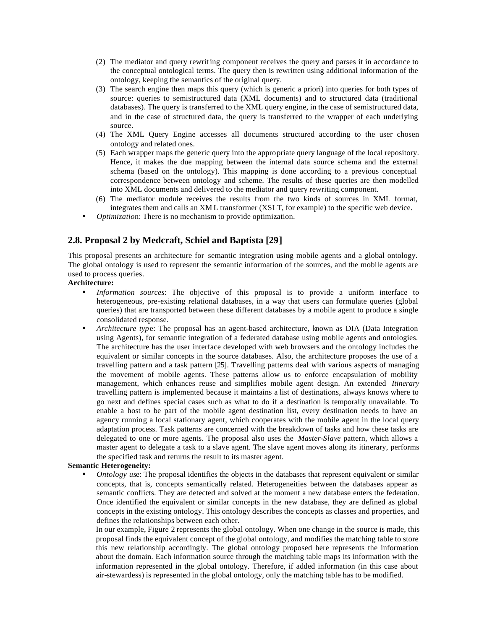- (2) The mediator and query rewrit ing component receives the query and parses it in accordance to the conceptual ontological terms. The query then is rewritten using additional information of the ontology, keeping the semantics of the original query.
- (3) The search engine then maps this query (which is generic a priori) into queries for both types of source: queries to semistructured data (XML documents) and to structured data (traditional databases). The query is transferred to the XML query engine, in the case of semistructured data, and in the case of structured data, the query is transferred to the wrapper of each underlying source.
- (4) The XML Query Engine accesses all documents structured according to the user chosen ontology and related ones.
- (5) Each wrapper maps the generic query into the appropriate query language of the local repository. Hence, it makes the due mapping between the internal data source schema and the external schema (based on the ontology). This mapping is done according to a previous conceptual correspondence between ontology and scheme. The results of these queries are then modelled into XML documents and delivered to the mediator and query rewriting component.
- (6) The mediator module receives the results from the two kinds of sources in XML format, integrates them and calls an XM L transformer (XSLT, for example) to the specific web device.
- ß *Optimizatio*n: There is no mechanism to provide optimization.

### **2.8. Proposal 2 by Medcraft, Schiel and Baptista [29]**

This proposal presents an architecture for semantic integration using mobile agents and a global ontology. The global ontology is used to represent the semantic information of the sources, and the mobile agents are used to process queries.

### **Architecture:**

- ß *Information sources*: The objective of this proposal is to provide a uniform interface to heterogeneous, pre-existing relational databases, in a way that users can formulate queries (global queries) that are transported between these different databases by a mobile agent to produce a single consolidated response.
- ß *Architecture typ*e: The proposal has an agent-based architecture, known as DIA (Data Integration using Agents), for semantic integration of a federated database using mobile agents and ontologies. The architecture has the user interface developed with web browsers and the ontology includes the equivalent or similar concepts in the source databases. Also, the architecture proposes the use of a travelling pattern and a task pattern [25]. Travelling patterns deal with various aspects of managing the movement of mobile agents. These patterns allow us to enforce encapsulation of mobility management, which enhances reuse and simplifies mobile agent design. An extended *Itinerary*  travelling pattern is implemented because it maintains a list of destinations, always knows where to go next and defines special cases such as what to do if a destination is temporally unavailable. To enable a host to be part of the mobile agent destination list, every destination needs to have an agency running a local stationary agent, which cooperates with the mobile agent in the local query adaptation process. Task patterns are concerned with the breakdown of tasks and how these tasks are delegated to one or more agents. The proposal also uses the *Master-Slave* pattern, which allows a master agent to delegate a task to a slave agent. The slave agent moves along its itinerary, performs the specified task and returns the result to its master agent.

#### **Semantic Heterogeneity:**

ß *Ontology us*e: The proposal identifies the objects in the databases that represent equivalent or similar concepts, that is, concepts semantically related. Heterogeneities between the databases appear as semantic conflicts. They are detected and solved at the moment a new database enters the federation. Once identified the equivalent or similar concepts in the new database, they are defined as global concepts in the existing ontology. This ontology describes the concepts as classes and properties, and defines the relationships between each other.

In our example, Figure 2 represents the global ontology. When one change in the source is made, this proposal finds the equivalent concept of the global ontology, and modifies the matching table to store this new relationship accordingly. The global ontology proposed here represents the information about the domain. Each information source through the matching table maps its information with the information represented in the global ontology. Therefore, if added information (in this case about air-stewardess) is represented in the global ontology, only the matching table has to be modified.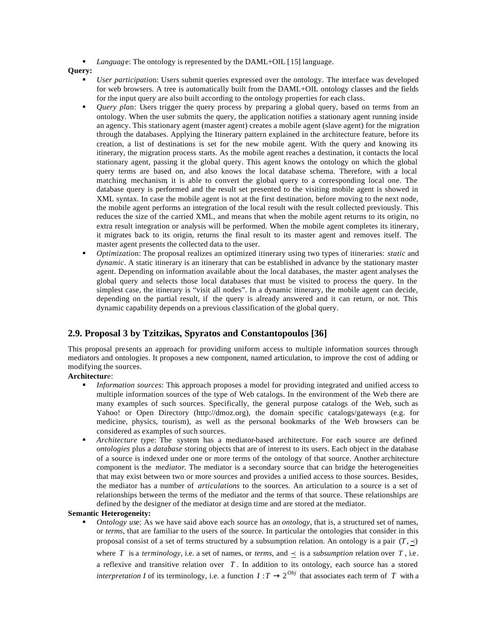ß *Languag*e: The ontology is represented by the DAML+OIL [15] language.

**Query:**

- ß *User participatio*n: Users submit queries expressed over the ontology. The interface was developed for web browsers. A tree is automatically built from the DAML+OIL ontology classes and the fields for the input query are also built according to the ontology properties for each class.
- *Query plan*: Users trigger the query process by preparing a global query, based on terms from an ontology. When the user submits the query, the application notifies a stationary agent running inside an agency. This stationary agent (master agent) creates a mobile agent (slave agent) for the migration through the databases. Applying the Itinerary pattern explained in the architecture feature, before its creation, a list of destinations is set for the new mobile agent. With the query and knowing its itinerary, the migration process starts. As the mobile agent reaches a destination, it contacts the local stationary agent, passing it the global query. This agent knows the ontology on which the global query terms are based on, and also knows the local database schema. Therefore, with a local matching mechanism, it is able to convert the global query to a corresponding local one. The database query is performed and the result set presented to the visiting mobile agent is showed in XML syntax. In case the mobile agent is not at the first destination, before moving to the next node, the mobile agent performs an integration of the local result with the result collected previously. This reduces the size of the carried XML, and means that when the mobile agent returns to its origin, no extra result integration or analysis will be performed. When the mobile agent completes its itinerary, it migrates back to its origin, returns the final result to its master agent and removes itself. The master agent presents the collected data to the user.
- ß *Optimizatio*n: The proposal realizes an optimized itinerary using two types of itineraries: *static* and *dynamic*. A static itinerary is an itinerary that can be established in advance by the stationary master agent. Depending on information available about the local databases, the master agent analyses the global query and selects those local databases that must be visited to process the query. In the simplest case, the itinerary is "visit all nodes". In a dynamic itinerary, the mobile agent can decide, depending on the partial result, if the query is already answered and it can return, or not. This dynamic capability depends on a previous classification of the global query.

### **2.9. Proposal 3 by Tzitzikas, Spyratos and Constantopoulos [36]**

This proposal presents an approach for providing uniform access to multiple information sources through mediators and ontologies. It proposes a new component, named articulation, to improve the cost of adding or modifying the sources.

### **Architectur**e:

- ß *Information sources*: This approach proposes a model for providing integrated and unified access to multiple information sources of the type of Web catalogs. In the environment of the Web there are many examples of such sources. Specifically, the general purpose catalogs of the Web, such as Yahoo! or Open Directory (http://dmoz.org), the domain specific catalogs/gateways (e.g. for medicine, physics, tourism), as well as the personal bookmarks of the Web browsers can be considered as examples of such sources.
- ß *Architecture typ*e: The system has a mediator-based architecture. For each source are defined *ontologies* plus a *database* storing objects that are of interest to its users. Each object in the database of a source is indexed under one or more terms of the ontology of that source. Another architecture component is the *mediator*. The mediator is a secondary source that can bridge the heterogeneities that may exist between two or more sources and provides a unified access to those sources. Besides, the mediator has a number of *articulations* to the sources. An articulation to a source is a set of relationships between the terms of the mediator and the terms of that source. These relationships are defined by the designer of the mediator at design time and are stored at the mediator.

### **Semantic Heterogeneity:**

*Ontology use:* As we have said above each source has an *ontology*, that is, a structured set of names, or *terms*, that are familiar to the users of the source. In particular the ontologies that consider in this proposal consist of a set of terms structured by a subsumption relation. An ontology is a pair  $(T, \prec)$ where *T* is a *terminology*, i.e. a set of names, or *terms*, and  $\leq$  is a *subsumption* relation over *T*, i.e. a reflexive and transitive relation over *T* . In addition to its ontology, each source has a stored *interpretation I* of its terminology, i.e. a function  $I: T \to 2^{Obj}$  that associates each term of *T* with a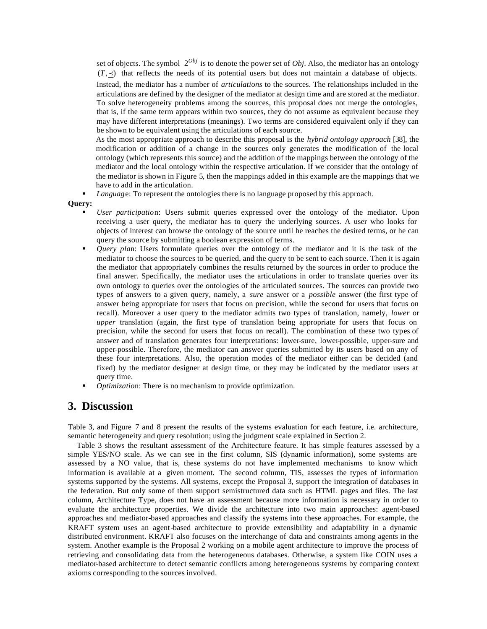set of objects. The symbol  $2^{Obj}$  is to denote the power set of *Obj*. Also, the mediator has an ontology  $(T, \prec)$  that reflects the needs of its potential users but does not maintain a database of objects.

Instead, the mediator has a number of *articulations* to the sources. The relationships included in the articulations are defined by the designer of the mediator at design time and are stored at the mediator. To solve heterogeneity problems among the sources, this proposal does not merge the ontologies, that is, if the same term appears within two sources, they do not assume as equivalent because they may have different interpretations (meanings). Two terms are considered equivalent only if they can be shown to be equivalent using the articulations of each source.

As the most appropriate approach to describe this proposal is the *hybrid ontology approach* [38], the modification or addition of a change in the sources only generates the modification of the local ontology (which represents this source) and the addition of the mappings between the ontology of the mediator and the local ontology within the respective articulation. If we consider that the ontology of the mediator is shown in Figure 5, then the mappings added in this example are the mappings that we have to add in the articulation.

*Language*: To represent the ontologies there is no language proposed by this approach.

#### **Query:**

- ß *User participatio*n: Users submit queries expressed over the ontology of the mediator. Upon receiving a user query, the mediator has to query the underlying sources. A user who looks for objects of interest can browse the ontology of the source until he reaches the desired terms, or he can query the source by submitting a boolean expression of terms.
- ß *Query pla*n: Users formulate queries over the ontology of the mediator and it is the task of the mediator to choose the sources to be queried, and the query to be sent to each source. Then it is again the mediator that appropriately combines the results returned by the sources in order to produce the final answer. Specifically, the mediator uses the articulations in order to translate queries over its own ontology to queries over the ontologies of the articulated sources. The sources can provide two types of answers to a given query, namely, a *sure* answer or a *possible* answer (the first type of answer being appropriate for users that focus on precision, while the second for users that focus on recall). Moreover a user query to the mediator admits two types of translation, namely, *lower* or *upper* translation (again, the first type of translation being appropriate for users that focus on precision, while the second for users that focus on recall). The combination of these two types of answer and of translation generates four interpretations: lower-sure, lower-possible, upper-sure and upper-possible. Therefore, the mediator can answer queries submitted by its users based on any of these four interpretations. Also, the operation modes of the mediator either can be decided (and fixed) by the mediator designer at design time, or they may be indicated by the mediator users at query time.
- ß *Optimizatio*n: There is no mechanism to provide optimization.

### **3. Discussion**

Table 3, and Figure 7 and 8 present the results of the systems evaluation for each feature, i.e. architecture, semantic heterogeneity and query resolution; using the judgment scale explained in Section 2.

Table 3 shows the resultant assessment of the Architecture feature. It has simple features assessed by a simple YES/NO scale. As we can see in the first column, SIS (dynamic information), some systems are assessed by a NO value, that is, these systems do not have implemented mechanisms to know which information is available at a given moment. The second column, TIS, assesses the types of information systems supported by the systems. All systems, except the Proposal 3, support the integration of databases in the federation. But only some of them support semistructured data such as HTML pages and files. The last column, Architecture Type, does not have an assessment because more information is necessary in order to evaluate the architecture properties. We divide the architecture into two main approaches: agent-based approaches and mediator-based approaches and classify the systems into these approaches. For example, the KRAFT system uses an agent-based architecture to provide extensibility and adaptability in a dynamic distributed environment. KRAFT also focuses on the interchange of data and constraints among agents in the system. Another example is the Proposal 2 working on a mobile agent architecture to improve the process of retrieving and consolidating data from the heterogeneous databases. Otherwise, a system like COIN uses a mediator-based architecture to detect semantic conflicts among heterogeneous systems by comparing context axioms corresponding to the sources involved.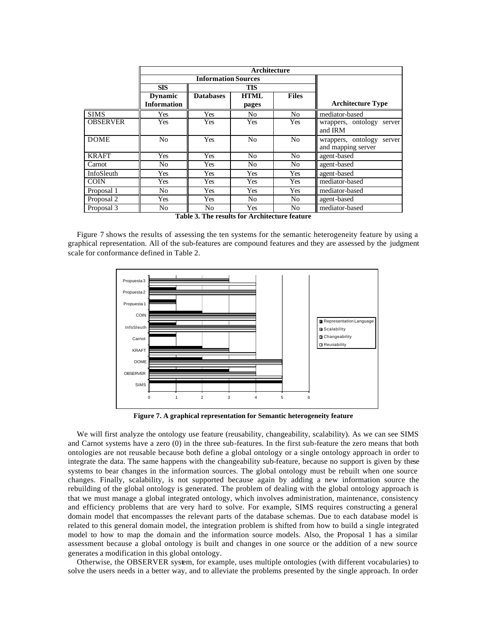|                 | Architecture       |                            |                |                |                              |  |  |
|-----------------|--------------------|----------------------------|----------------|----------------|------------------------------|--|--|
|                 |                    | <b>Information Sources</b> |                |                |                              |  |  |
|                 | <b>SIS</b>         | <b>TIS</b>                 |                |                |                              |  |  |
|                 | <b>Dynamic</b>     | <b>Databases</b>           | <b>HTML</b>    | <b>Files</b>   |                              |  |  |
|                 | <b>Information</b> |                            | pages          |                | <b>Architecture Type</b>     |  |  |
| <b>SIMS</b>     | Yes                | Yes                        | N <sub>o</sub> | N <sub>o</sub> | mediator-based               |  |  |
| <b>OBSERVER</b> | Yes                | Yes                        | Yes            | Yes            | wrappers, ontology<br>server |  |  |
|                 |                    |                            |                |                | and IRM                      |  |  |
| <b>DOME</b>     | N <sub>o</sub>     | Yes                        | N <sub>o</sub> | No             | wrappers, ontology<br>server |  |  |
|                 |                    |                            |                |                | and mapping server           |  |  |
| <b>KRAFT</b>    | Yes                | Yes                        | N <sub>o</sub> | N <sub>o</sub> | agent-based                  |  |  |
| Carnot          | No                 | Yes                        | N <sub>0</sub> | N <sub>0</sub> | agent-based                  |  |  |
| InfoSleuth      | Yes                | Yes                        | Yes            | Yes            | agent-based                  |  |  |
| <b>COIN</b>     | Yes                | Yes                        | Yes            | Yes            | mediator-based               |  |  |
| Proposal 1      | No                 | Yes                        | Yes            | Yes            | mediator-based               |  |  |
| Proposal 2      | Yes                | Yes                        | N <sub>o</sub> | N <sub>o</sub> | agent-based                  |  |  |
| Proposal 3      | No                 | N <sub>0</sub>             | Yes            | N <sub>0</sub> | mediator-based               |  |  |

**Table 3. The results for Architecture feature**

Figure 7 shows the results of assessing the ten systems for the semantic heterogeneity feature by using a graphical representation. All of the sub-features are compound features and they are assessed by the judgment scale for conformance defined in Table 2.



**Figure 7. A graphical representation for Semantic heterogeneity feature**

We will first analyze the ontology use feature (reusability, changeability, scalability). As we can see SIMS and Carnot systems have a zero (0) in the three sub-features. In the first sub-feature the zero means that both ontologies are not reusable because both define a global ontology or a single ontology approach in order to integrate the data. The same happens with the changeability sub-feature, because no support is given by these systems to bear changes in the information sources. The global ontology must be rebuilt when one source changes. Finally, scalability, is not supported because again by adding a new information source the rebuilding of the global ontology is generated. The problem of dealing with the global ontology approach is that we must manage a global integrated ontology, which involves administration, maintenance, consistency and efficiency problems that are very hard to solve. For example, SIMS requires constructing a general domain model that encompasses the relevant parts of the database schemas. Due to each database model is related to this general domain model, the integration problem is shifted from how to build a single integrated model to how to map the domain and the information source models. Also, the Proposal 1 has a similar assessment because a global ontology is built and changes in one source or the addition of a new source generates a modification in this global ontology.

Otherwise, the OBSERVER system, for example, uses multiple ontologies (with different vocabularies) to solve the users needs in a better way, and to alleviate the problems presented by the single approach. In order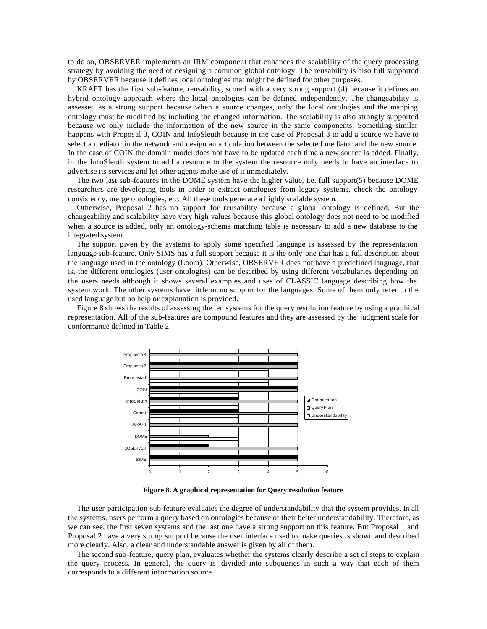to do so, OBSERVER implements an IRM component that enhances the scalability of the query processing strategy by avoiding the need of designing a common global ontology. The reusability is also full supported by OBSERVER because it defines local ontologies that might be defined for other purposes.

KRAFT has the first sub-feature, reusability, scored with a very strong support (4) because it defines an hybrid ontology approach where the local ontologies can be defined independently. The changeability is assessed as a strong support because when a source changes, only the local ontologies and the mapping ontology must be modified by including the changed information. The scalability is also strongly supported because we only include the information of the new source in the same components. Something similar happens with Proposal 3, COIN and InfoSleuth because in the case of Proposal 3 to add a source we have to select a mediator in the network and design an articulation between the selected mediator and the new source. In the case of COIN the domain model does not have to be updated each time a new source is added. Finally, in the InfoSleuth system to add a resource to the system the resource only needs to have an interface to advertise its services and let other agents make use of it immediately.

The two last sub-features in the DOME system have the higher value, i.e. full support(5) because DOME researchers are developing tools in order to extract ontologies from legacy systems, check the ontology consistency, merge ontologies, etc. All these tools generate a highly scalable system.

Otherwise, Proposal 2 has no support for reusability because a global ontology is defined. But the changeability and scalability have very high values because this global ontology does not need to be modified when a source is added, only an ontology-schema matching table is necessary to add a new database to the integrated system.

The support given by the systems to apply some specified language is assessed by the representation language sub-feature. Only SIMS has a full support because it is the only one that has a full description about the language used in the ontology (Loom). Otherwise, OBSERVER does not have a predefined language, that is, the different ontologies (user ontologies) can be described by using different vocabularies depending on the users needs although it shows several examples and uses of CLASSIC language describing how the system work. The other systems have little or no support for the languages. Some of them only refer to the used language but no help or explanation is provided.

Figure 8 shows the results of assessing the ten systems for the query resolution feature by using a graphical representation. All of the sub-features are compound features and they are assessed by the judgment scale for conformance defined in Table 2.



**Figure 8. A graphical representation for Query resolution feature**

The user participation sub-feature evaluates the degree of understandability that the system provides. In all the systems, users perform a query based on ontologies because of their better understandability. Therefore, as we can see, the first seven systems and the last one have a strong support on this feature. But Proposal 1 and Proposal 2 have a very strong support because the user interface used to make queries is shown and described more clearly. Also, a clear and understandable answer is given by all of them.

The second sub-feature, query plan, evaluates whether the systems clearly describe a set of steps to explain the query process. In general, the query is divided into subqueries in such a way that each of them corresponds to a different information source.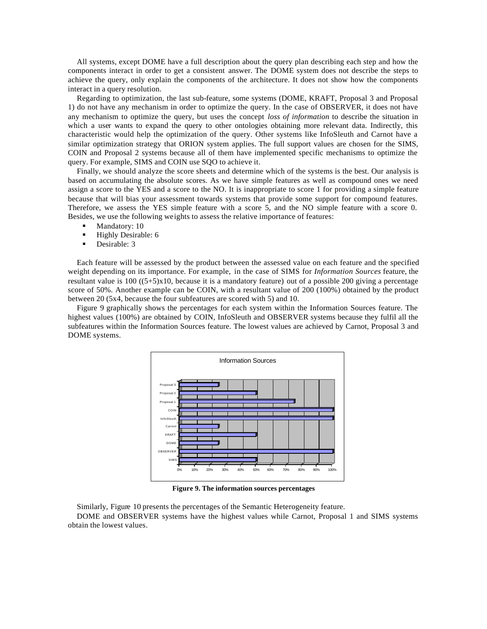All systems, except DOME have a full description about the query plan describing each step and how the components interact in order to get a consistent answer. The DOME system does not describe the steps to achieve the query, only explain the components of the architecture. It does not show how the components interact in a query resolution.

Regarding to optimization, the last sub-feature, some systems (DOME, KRAFT, Proposal 3 and Proposal 1) do not have any mechanism in order to optimize the query. In the case of OBSERVER, it does not have any mechanism to optimize the query, but uses the concept *loss of information* to describe the situation in which a user wants to expand the query to other ontologies obtaining more relevant data. Indirectly, this characteristic would help the optimization of the query. Other systems like InfoSleuth and Carnot have a similar optimization strategy that ORION system applies. The full support values are chosen for the SIMS, COIN and Proposal 2 systems because all of them have implemented specific mechanisms to optimize the query. For example, SIMS and COIN use SQO to achieve it.

Finally, we should analyze the score sheets and determine which of the systems is the best. Our analysis is based on accumulating the absolute scores. As we have simple features as well as compound ones we need assign a score to the YES and a score to the NO. It is inappropriate to score 1 for providing a simple feature because that will bias your assessment towards systems that provide some support for compound features. Therefore, we assess the YES simple feature with a score 5, and the NO simple feature with a score 0. Besides, we use the following weights to assess the relative importance of features:

- Mandatory: 10
- **Highly Desirable: 6**
- Desirable: 3

Each feature will be assessed by the product between the assessed value on each feature and the specified weight depending on its importance. For example, in the case of SIMS for *Information Sources* feature, the resultant value is 100 ((5+5)x10, because it is a mandatory feature) out of a possible 200 giving a percentage score of 50%. Another example can be COIN, with a resultant value of 200 (100%) obtained by the product between 20 (5x4, because the four subfeatures are scored with 5) and 10.

Figure 9 graphically shows the percentages for each system within the Information Sources feature. The highest values (100%) are obtained by COIN, InfoSleuth and OBSERVER systems because they fulfil all the subfeatures within the Information Sources feature. The lowest values are achieved by Carnot, Proposal 3 and DOME systems.



**Figure 9. The information sources percentages**

Similarly, Figure 10 presents the percentages of the Semantic Heterogeneity feature.

DOME and OBSERVER systems have the highest values while Carnot, Proposal 1 and SIMS systems obtain the lowest values.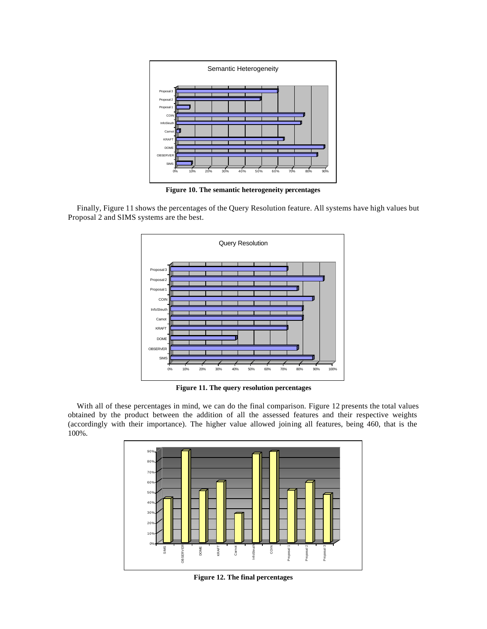

**Figure 10. The semantic heterogeneity percentages**

Finally, Figure 11 shows the percentages of the Query Resolution feature. All systems have high values but Proposal 2 and SIMS systems are the best.



**Figure 11. The query resolution percentages**

With all of these percentages in mind, we can do the final comparison. Figure 12 presents the total values obtained by the product between the addition of all the assessed features and their respective weights (accordingly with their importance). The higher value allowed joining all features, being 460, that is the 100%.



**Figure 12. The final percentages**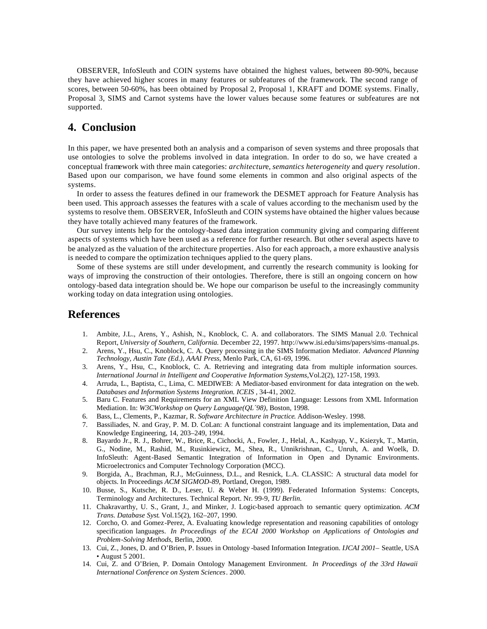OBSERVER, InfoSleuth and COIN systems have obtained the highest values, between 80-90%, because they have achieved higher scores in many features or subfeatures of the framework. The second range of scores, between 50-60%, has been obtained by Proposal 2, Proposal 1, KRAFT and DOME systems. Finally, Proposal 3, SIMS and Carnot systems have the lower values because some features or subfeatures are not supported.

## **4. Conclusion**

In this paper, we have presented both an analysis and a comparison of seven systems and three proposals that use ontologies to solve the problems involved in data integration. In order to do so, we have created a conceptual framework with three main categories: *architectur*e, *semantics heterogeneity* and *quer*y *resolution*. Based upon our comparison, we have found some elements in common and also original aspects of the systems.

In order to assess the features defined in our framework the DESMET approach for Feature Analysis has been used. This approach assesses the features with a scale of values according to the mechanism used by the systems to resolve them. OBSERVER, InfoSleuth and COIN systems have obtained the higher values because they have totally achieved many features of the framework.

Our survey intents help for the ontology-based data integration community giving and comparing different aspects of systems which have been used as a reference for further research. But other several aspects have to be analyzed as the valuation of the architecture properties. Also for each approach, a more exhaustive analysis is needed to compare the optimization techniques applied to the query plans.

Some of these systems are still under development, and currently the research community is looking for ways of improving the construction of their ontologies. Therefore, there is still an ongoing concern on how ontology-based data integration should be. We hope our comparison be useful to the increasingly community working today on data integration using ontologies.

### **References**

- 1. Ambite, J.L., Arens, Y., Ashish, N., Knoblock, C. A. and collaborators. The SIMS Manual 2.0. Technical Report, *University of Southern, California.* December 22, 1997. http://www.isi.edu/sims/papers/sims-manual.ps.
- 2. Arens, Y., Hsu, C., Knoblock, C. A. Query processing in the SIMS Information Mediator. *Advanced Planning Technology, Austin Tate (Ed.), AAAI Press*, Menlo Park, CA, 61-69, 1996.
- 3. Arens, Y., Hsu, C., Knoblock, C. A. Retrieving and integrating data from multiple information sources. *International Journal in Intelligent and Cooperative Information Systems*,Vol.2(2), 127-158, 1993.
- 4. Arruda, L., Baptista, C., Lima, C. MEDIWEB: A Mediator-based environment for data integration on the web. *Databases and Information Systems Integration. ICEIS ,* 34-41, 2002.
- 5. Baru C. Features and Requirements for an XML View Definition Language: Lessons from XML Information Mediation. In: *W3CWorkshop on Query Language(QL´98)*, Boston, 1998.
- 6. Bass, L., Clements, P., Kazmar, R. *Software Architecture in Practice*. Addison-Wesley. 1998.
- 7. Bassiliades, N. and Gray, P. M. D. CoLan: A functional constraint language and its implementation, Data and Knowledge Engineering, 14, 203–249, 1994.
- 8. Bayardo Jr., R. J., Bohrer, W., Brice, R., Cichocki, A., Fowler, J., Helal, A., Kashyap, V., Ksiezyk, T., Martin, G., Nodine, M., Rashid, M., Rusinkiewicz, M., Shea, R., Unnikrishnan, C., Unruh, A. and Woelk, D. InfoSleuth: Agent-Based Semantic Integration of Information in Open and Dynamic Environments. Microelectronics and Computer Technology Corporation (MCC).
- 9. Borgida, A., Brachman, R.J., McGuinness, D.L., and Resnick, L.A. CLASSIC: A structural data model for objects. In Proceedings *ACM SIGMOD-89*, Portland, Oregon, 1989.
- 10. Busse, S., Kutsche, R. D., Leser, U. & Weber H. (1999). Federated Information Systems: Concepts, Terminology and Architectures. Technical Report. Nr. 99-9, *TU Berlin*.
- 11. Chakravarthy, U. S., Grant, J., and Minker, J. Logic-based approach to semantic query optimization. *ACM Trans. Database Syst*. Vol.15(2), 162–207, 1990.
- 12. Corcho, O. and Gomez-Perez, A. Evaluating knowledge representation and reasoning capabilities of ontology specification languages. *In Proceedings of the ECAI 2000 Workshop on Applications of Ontologies and Problem-Solving Methods*, Berlin, 2000.
- 13. Cui, Z., Jones, D. and O'Brien, P. Issues in Ontology -based Information Integration. *IJCAI 2001* Seattle, USA • August 5 2001.
- 14. Cui, Z. and O'Brien, P. Domain Ontology Management Environment. *In Proceedings of the 33rd Hawaii International Conference on System Sciences*. 2000.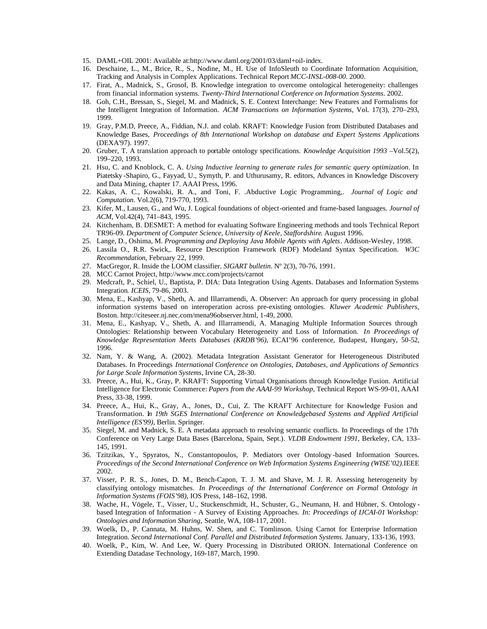- 15. DAML+OIL 2001: Available at:http://www.daml.org/2001/03/daml+oil-index.
- 16. Deschaine, L., M., Brice, R., S., Nodine, M., H. Use of InfoSleuth to Coordinate Information Acquisition, Tracking and Analysis in Complex Applications. Technical Report *MCC-INSL-008-00*. 2000.
- 17. Firat, A., Madnick, S., Grosof, B. Knowledge integration to overcome ontological heterogeneity: challenges from financial information systems. *Twenty-Third International Conference on Information Systems*. 2002.
- 18. Goh, C.H., Bressan, S., Siegel, M. and Madnick, S. E. Context Interchange: New Features and Formalisms for the Intelligent Integration of Information. *ACM Transactions on Information Systems*, Vol. 17(3), 270–293, 1999.
- 19. Gray, P.M.D, Preece, A., Fiddian, N.J. and colab. KRAFT: Knowledge Fusion from Distributed Databases and Knowledge Bases, *Proceedings of 8th International Workshop on database and Expert Systems Applications* (DEXA'97). 1997.
- 20. Gruber, T. A translation approach to portable ontology specifications. *Knowledge Acquisition 1993* –Vol.5(2), 199–220, 1993.
- 21. Hsu, C. and Knoblock, C. A. *Using Inductive learning to generate rules for semantic query optimization*. In Piatetsky -Shapiro, G., Fayyad, U., Symyth, P. and Uthurusamy, R. editors, Advances in Knowledge Discovery and Data Mining, chapter 17. AAAI Press, 1996.
- 22. Kakas, A. C., Kowalski, R. A., and Toni, F. .Abductive Logic Programming,. *Journal of Logic and Computation*. Vol.2(6), 719-770, 1993.
- 23. Kifer, M., Lausen, G., and Wu, J. Logical foundations of object-oriented and frame-based languages. *Journal of ACM,* Vol.42(4), 741–843, 1995.
- 24. Kitchenham, B. DESMET: A method for evaluating Software Engineering methods and tools Technical Report TR96-09. *Department of Computer Science, University of Keele, Staffordshire*. August 1996.
- 25. Lange, D., Oshima, M. *Programming and Deploying Java Mobile Agents with Aglets*. Addison-Wesley, 1998.
- 26. Lassila O., R.R. Swick,. Resource Description Framework (RDF) Modeland Syntax Specification. *W3C Recommendation*, February 22, 1999.
- 27. MacGregor, R. Inside the LOOM classifier. *SIGART bulletin*. Nº 2(3), 70-76, 1991.
- 28. MCC Carnot Project, http://www.mcc.com/projects/carnot
- 29. Medcraft, P., Schiel, U., Baptista, P. DIA: Data Integration Using Agents. Databases and Information Systems Integration*. ICEIS,* 79-86, 2003.
- 30. Mena, E., Kashyap, V., Sheth, A. and Illarramendi, A. Observer: An approach for query processing in global information systems based on interoperation across pre-existing ontologies. *Kluwer Academic Publishers*, Boston. http://citeseer.nj.nec.com/mena96observer.html, 1-49, 2000.
- 31. Mena, E., Kashyap, V., Sheth, A. and Illarramendi, A. Managing Multiple Information Sources through Ontologies: Relationship between Vocabulary Heterogeneity and Loss of Information. *In Proceedings of Knowledge Representation Meets Databases (KRDB'96)*, ECAI'96 conference, Budapest, Hungary, 50-52, 1996.
- 32. Nam, Y. & Wang, A. (2002). Metadata Integration Assistant Generator for Heterogeneous Distributed Databases. In Proceedings *International Conference on Ontologies, Databases, and Applications of Semantics for Large Scale Information Systems*, Irvine CA, 28-30.
- 33. Preece, A., Hui, K., Gray, P. KRAFT: Supporting Virtual Organisations through Knowledge Fusion. Artificial Intelligence for Electronic Commerce: *Papers from the AAAI-99 Workshop*, Technical Report WS-99-01, AAAI Press, 33-38, 1999.
- 34. Preece, A., Hui, K., Gray, A., Jones, D., Cui, Z. The KRAFT Architecture for Knowledge Fusion and Transformation. I*n 19th SGES International Conference on Knowledgebased Systems and Applied Artificial Intelligence (ES'99)*, Berlin. Springer.
- 35. Siegel, M. and Madnick, S. E. A metadata approach to resolving semantic conflicts. In Proceedings of the 17th Conference on Very Large Data Bases (Barcelona, Spain, Sept.). *VLDB Endowment 1991*, Berkeley, CA, 133– 145, 1991.
- 36. Tzitzikas, Y., Spyratos, N., Constantopoulos, P. Mediators over Ontology -based Information Sources. *Proceedings of the Second International Conference on Web Information Systems Engineering (WISE'02)*.IEEE 2002.
- 37. Visser, P. R. S., Jones, D. M., Bench-Capon, T. J. M. and Shave, M. J. R. Assessing heterogeneity by classifying ontology mismatches. *In Proceedings of the International Conference on Formal Ontology in Information Systems (FOIS'98)*, IOS Press, 148–162, 1998.
- 38. Wache, H., Vögele, T., Visser, U., Stuckenschmidt, H., Schuster, G., Neumann, H. and Hübner, S. Ontology based Integration of Information - A Survey of Existing Approaches. *In: Proceedings of IJCAI-01 Workshop: Ontologies and Information Sharing*, Seattle, WA, 108-117, 2001.
- 39. Woelk, D., P. Cannata, M. Huhns, W. Shen, and C. Tomlinson. Using Carnot for Enterprise Information Integration. *Second International Conf. Parallel and Distributed Information Systems*. January, 133-136, 1993.
- 40. Woelk, P., Kim, W. And Lee, W. Query Processing in Distributed ORION. International Conference on Extending Datadase Technology, 169-187, March, 1990.